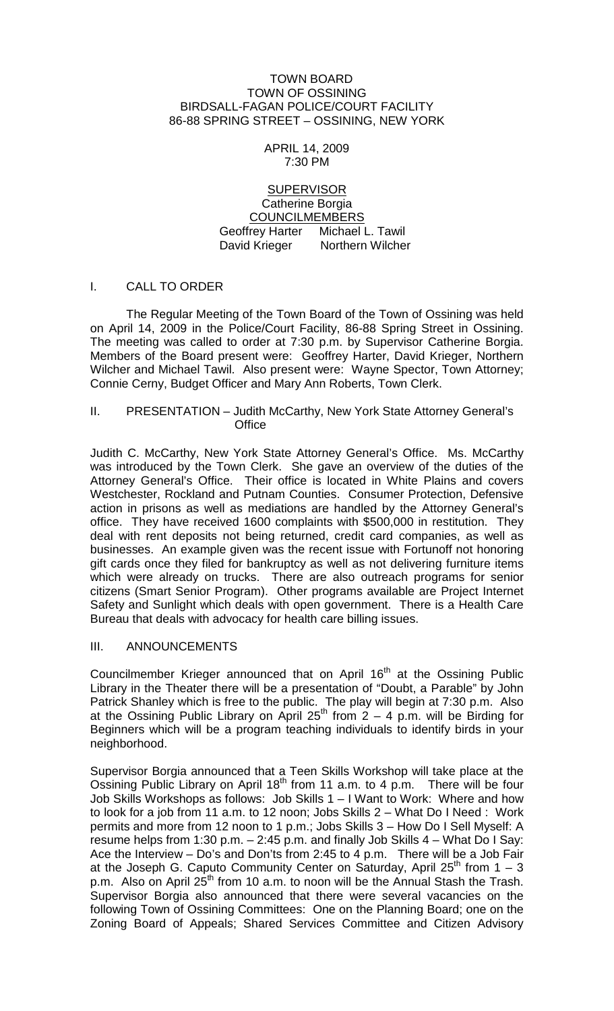#### TOWN BOARD TOWN OF OSSINING BIRDSALL-FAGAN POLICE/COURT FACILITY 86-88 SPRING STREET – OSSINING, NEW YORK

#### APRIL 14, 2009 7:30 PM

## **SUPERVISOR** Catherine Borgia COUNCILMEMBERS Geoffrey Harter Michael L. Tawil David Krieger Northern Wilcher

# I. CALL TO ORDER

The Regular Meeting of the Town Board of the Town of Ossining was held on April 14, 2009 in the Police/Court Facility, 86-88 Spring Street in Ossining. The meeting was called to order at 7:30 p.m. by Supervisor Catherine Borgia. Members of the Board present were: Geoffrey Harter, David Krieger, Northern Wilcher and Michael Tawil. Also present were: Wayne Spector, Town Attorney; Connie Cerny, Budget Officer and Mary Ann Roberts, Town Clerk.

### II. PRESENTATION – Judith McCarthy, New York State Attorney General's **Office**

Judith C. McCarthy, New York State Attorney General's Office. Ms. McCarthy was introduced by the Town Clerk. She gave an overview of the duties of the Attorney General's Office. Their office is located in White Plains and covers Westchester, Rockland and Putnam Counties. Consumer Protection, Defensive action in prisons as well as mediations are handled by the Attorney General's office. They have received 1600 complaints with \$500,000 in restitution. They deal with rent deposits not being returned, credit card companies, as well as businesses. An example given was the recent issue with Fortunoff not honoring gift cards once they filed for bankruptcy as well as not delivering furniture items which were already on trucks. There are also outreach programs for senior citizens (Smart Senior Program). Other programs available are Project Internet Safety and Sunlight which deals with open government. There is a Health Care Bureau that deals with advocacy for health care billing issues.

### III. ANNOUNCEMENTS

Councilmember Krieger announced that on April 16<sup>th</sup> at the Ossining Public Library in the Theater there will be a presentation of "Doubt, a Parable" by John Patrick Shanley which is free to the public. The play will begin at 7:30 p.m. Also at the Ossining Public Library on April 25<sup>th</sup> from  $2 - 4$  p.m. will be Birding for Beginners which will be a program teaching individuals to identify birds in your neighborhood.

Supervisor Borgia announced that a Teen Skills Workshop will take place at the Ossining Public Library on April  $18<sup>th</sup>$  from 11 a.m. to 4 p.m. There will be four Job Skills Workshops as follows: Job Skills 1 – I Want to Work: Where and how to look for a job from 11 a.m. to 12 noon; Jobs Skills 2 – What Do I Need : Work permits and more from 12 noon to 1 p.m.; Jobs Skills 3 – How Do I Sell Myself: A resume helps from 1:30 p.m. – 2:45 p.m. and finally Job Skills 4 – What Do I Say: Ace the Interview – Do's and Don'ts from 2:45 to 4 p.m. There will be a Job Fair at the Joseph G. Caputo Community Center on Saturday, April 25<sup>th</sup> from  $1 - 3$ p.m. Also on April  $25<sup>th</sup>$  from 10 a.m. to noon will be the Annual Stash the Trash. Supervisor Borgia also announced that there were several vacancies on the following Town of Ossining Committees: One on the Planning Board; one on the Zoning Board of Appeals; Shared Services Committee and Citizen Advisory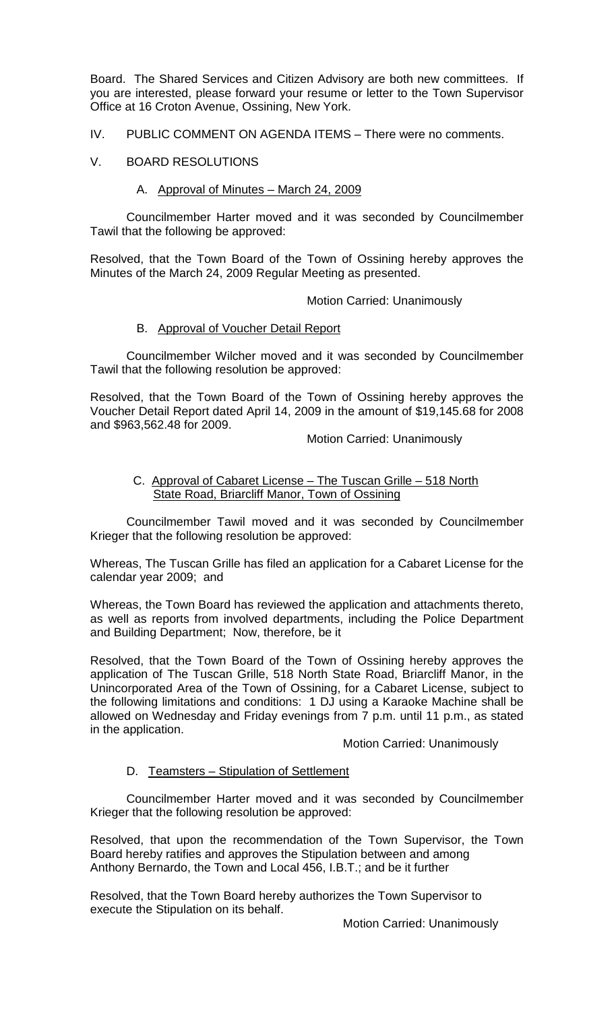Board. The Shared Services and Citizen Advisory are both new committees. If you are interested, please forward your resume or letter to the Town Supervisor Office at 16 Croton Avenue, Ossining, New York.

- IV. PUBLIC COMMENT ON AGENDA ITEMS There were no comments.
- V. BOARD RESOLUTIONS

#### A. Approval of Minutes – March 24, 2009

Councilmember Harter moved and it was seconded by Councilmember Tawil that the following be approved:

Resolved, that the Town Board of the Town of Ossining hereby approves the Minutes of the March 24, 2009 Regular Meeting as presented.

Motion Carried: Unanimously

## B. Approval of Voucher Detail Report

Councilmember Wilcher moved and it was seconded by Councilmember Tawil that the following resolution be approved:

Resolved, that the Town Board of the Town of Ossining hereby approves the Voucher Detail Report dated April 14, 2009 in the amount of \$19,145.68 for 2008 and \$963,562.48 for 2009.

Motion Carried: Unanimously

### C. Approval of Cabaret License – The Tuscan Grille – 518 North State Road, Briarcliff Manor, Town of Ossining

Councilmember Tawil moved and it was seconded by Councilmember Krieger that the following resolution be approved:

Whereas, The Tuscan Grille has filed an application for a Cabaret License for the calendar year 2009; and

Whereas, the Town Board has reviewed the application and attachments thereto, as well as reports from involved departments, including the Police Department and Building Department; Now, therefore, be it

Resolved, that the Town Board of the Town of Ossining hereby approves the application of The Tuscan Grille, 518 North State Road, Briarcliff Manor, in the Unincorporated Area of the Town of Ossining, for a Cabaret License, subject to the following limitations and conditions: 1 DJ using a Karaoke Machine shall be allowed on Wednesday and Friday evenings from 7 p.m. until 11 p.m., as stated in the application.

Motion Carried: Unanimously

#### D. Teamsters – Stipulation of Settlement

Councilmember Harter moved and it was seconded by Councilmember Krieger that the following resolution be approved:

Resolved, that upon the recommendation of the Town Supervisor, the Town Board hereby ratifies and approves the Stipulation between and among Anthony Bernardo, the Town and Local 456, I.B.T.; and be it further

Resolved, that the Town Board hereby authorizes the Town Supervisor to execute the Stipulation on its behalf.

Motion Carried: Unanimously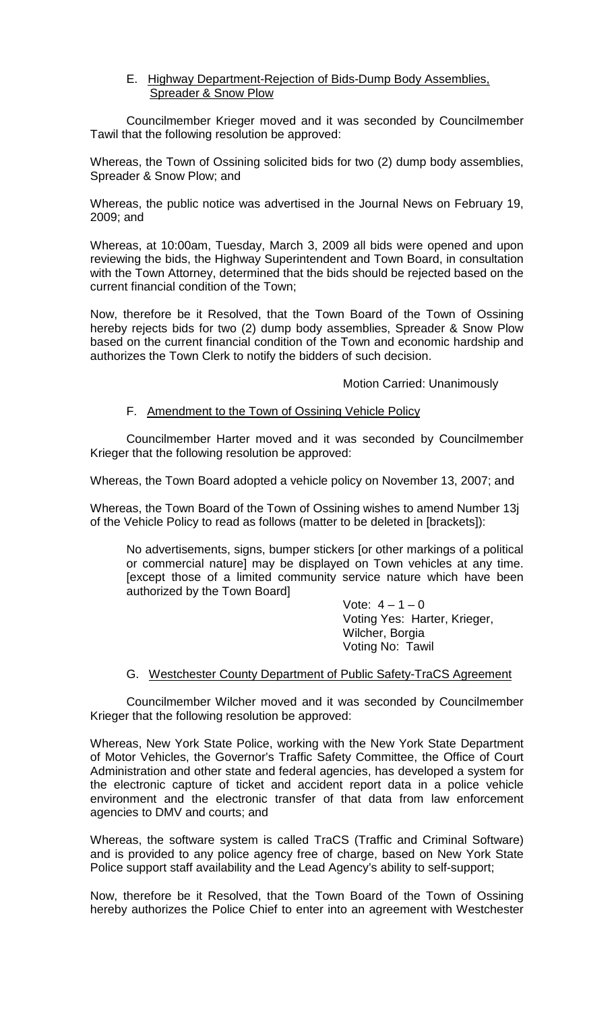## E. Highway Department-Rejection of Bids-Dump Body Assemblies, Spreader & Snow Plow

Councilmember Krieger moved and it was seconded by Councilmember Tawil that the following resolution be approved:

Whereas, the Town of Ossining solicited bids for two (2) dump body assemblies, Spreader & Snow Plow; and

Whereas, the public notice was advertised in the Journal News on February 19, 2009; and

Whereas, at 10:00am, Tuesday, March 3, 2009 all bids were opened and upon reviewing the bids, the Highway Superintendent and Town Board, in consultation with the Town Attorney, determined that the bids should be rejected based on the current financial condition of the Town;

Now, therefore be it Resolved, that the Town Board of the Town of Ossining hereby rejects bids for two (2) dump body assemblies, Spreader & Snow Plow based on the current financial condition of the Town and economic hardship and authorizes the Town Clerk to notify the bidders of such decision.

### Motion Carried: Unanimously

## F. Amendment to the Town of Ossining Vehicle Policy

Councilmember Harter moved and it was seconded by Councilmember Krieger that the following resolution be approved:

Whereas, the Town Board adopted a vehicle policy on November 13, 2007; and

Whereas, the Town Board of the Town of Ossining wishes to amend Number 13j of the Vehicle Policy to read as follows (matter to be deleted in [brackets]):

No advertisements, signs, bumper stickers [or other markings of a political or commercial nature] may be displayed on Town vehicles at any time. [except those of a limited community service nature which have been authorized by the Town Board]

> Vote:  $4 - 1 - 0$ Voting Yes: Harter, Krieger, Wilcher, Borgia Voting No: Tawil

### G. Westchester County Department of Public Safety-TraCS Agreement

Councilmember Wilcher moved and it was seconded by Councilmember Krieger that the following resolution be approved:

Whereas, New York State Police, working with the New York State Department of Motor Vehicles, the Governor's Traffic Safety Committee, the Office of Court Administration and other state and federal agencies, has developed a system for the electronic capture of ticket and accident report data in a police vehicle environment and the electronic transfer of that data from law enforcement agencies to DMV and courts; and

Whereas, the software system is called TraCS (Traffic and Criminal Software) and is provided to any police agency free of charge, based on New York State Police support staff availability and the Lead Agency's ability to self-support;

Now, therefore be it Resolved, that the Town Board of the Town of Ossining hereby authorizes the Police Chief to enter into an agreement with Westchester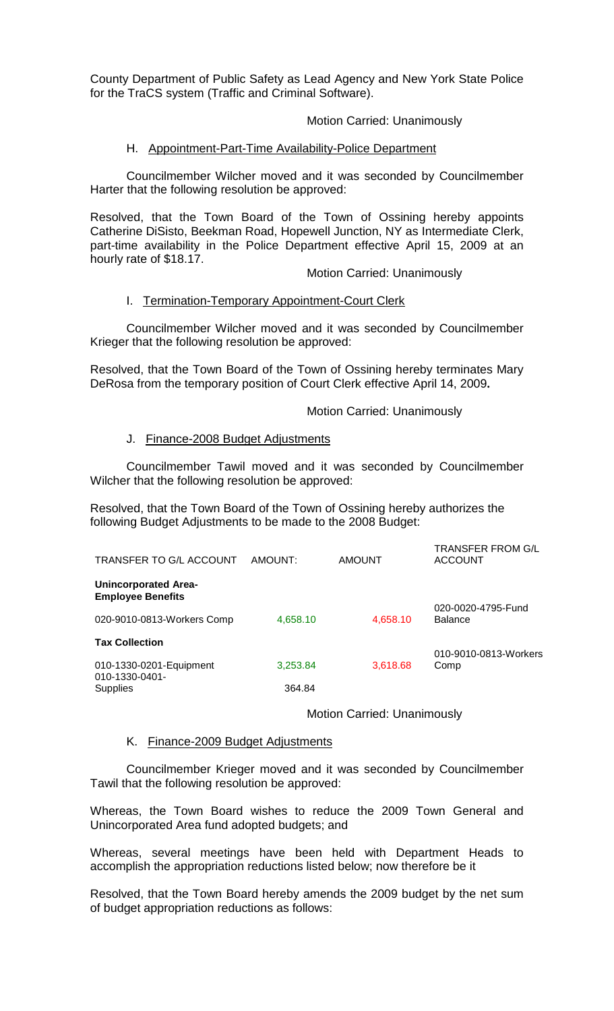County Department of Public Safety as Lead Agency and New York State Police for the TraCS system (Traffic and Criminal Software).

## Motion Carried: Unanimously

## H.Appointment-Part-Time Availability-Police Department

Councilmember Wilcher moved and it was seconded by Councilmember Harter that the following resolution be approved:

Resolved, that the Town Board of the Town of Ossining hereby appoints Catherine DiSisto, Beekman Road, Hopewell Junction, NY as Intermediate Clerk, part-time availability in the Police Department effective April 15, 2009 at an hourly rate of \$18.17.

Motion Carried: Unanimously

### I. Termination-Temporary Appointment-Court Clerk

Councilmember Wilcher moved and it was seconded by Councilmember Krieger that the following resolution be approved:

Resolved, that the Town Board of the Town of Ossining hereby terminates Mary DeRosa from the temporary position of Court Clerk effective April 14, 2009**.**

#### Motion Carried: Unanimously

 $T$ 

## J. Finance-2008 Budget Adjustments

Councilmember Tawil moved and it was seconded by Councilmember Wilcher that the following resolution be approved:

Resolved, that the Town Board of the Town of Ossining hereby authorizes the following Budget Adjustments to be made to the 2008 Budget:

| TRANSFER TO G/L ACCOUNT                                 | AMOUNT:  | <b>AMOUNT</b> | I RANSFER FROM G/L<br><b>ACCOUNT</b> |
|---------------------------------------------------------|----------|---------------|--------------------------------------|
| <b>Unincorporated Area-</b><br><b>Employee Benefits</b> |          |               |                                      |
| 020-9010-0813-Workers Comp                              | 4,658.10 | 4,658.10      | 020-0020-4795-Fund<br><b>Balance</b> |
| <b>Tax Collection</b>                                   |          |               |                                      |
|                                                         |          |               | 010-9010-0813-Workers                |
| 010-1330-0201-Equipment<br>010-1330-0401-               | 3,253.84 | 3,618.68      | Comp                                 |
| <b>Supplies</b>                                         | 364.84   |               |                                      |

Motion Carried: Unanimously

## K. Finance-2009 Budget Adjustments

Councilmember Krieger moved and it was seconded by Councilmember Tawil that the following resolution be approved:

Whereas, the Town Board wishes to reduce the 2009 Town General and Unincorporated Area fund adopted budgets; and

Whereas, several meetings have been held with Department Heads to accomplish the appropriation reductions listed below; now therefore be it

Resolved, that the Town Board hereby amends the 2009 budget by the net sum of budget appropriation reductions as follows: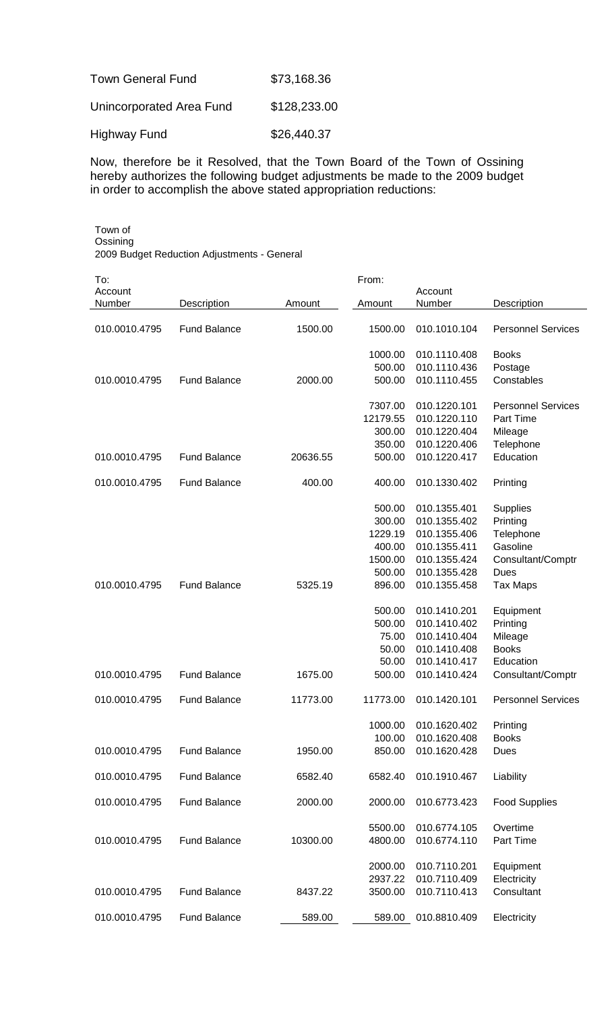| <b>Town General Fund</b> | \$73,168.36  |
|--------------------------|--------------|
| Unincorporated Area Fund | \$128,233.00 |
| <b>Highway Fund</b>      | \$26,440.37  |

Now, therefore be it Resolved, that the Town Board of the Town of Ossining hereby authorizes the following budget adjustments be made to the 2009 budget in order to accomplish the above stated appropriation reductions:

Town of **Ossining** 2009 Budget Reduction Adjustments - General

| To:           |                     |          | From:    |              |                           |
|---------------|---------------------|----------|----------|--------------|---------------------------|
| Account       |                     |          |          | Account      |                           |
| Number        | Description         | Amount   | Amount   | Number       | Description               |
| 010.0010.4795 | <b>Fund Balance</b> | 1500.00  | 1500.00  | 010.1010.104 | <b>Personnel Services</b> |
|               |                     |          | 1000.00  | 010.1110.408 | <b>Books</b>              |
|               |                     |          | 500.00   | 010.1110.436 | Postage                   |
| 010.0010.4795 | <b>Fund Balance</b> | 2000.00  | 500.00   | 010.1110.455 | Constables                |
|               |                     |          | 7307.00  | 010.1220.101 | <b>Personnel Services</b> |
|               |                     |          | 12179.55 | 010.1220.110 | Part Time                 |
|               |                     |          | 300.00   | 010.1220.404 | Mileage                   |
|               |                     |          | 350.00   | 010.1220.406 | Telephone                 |
| 010.0010.4795 | <b>Fund Balance</b> | 20636.55 | 500.00   | 010.1220.417 | Education                 |
| 010.0010.4795 | <b>Fund Balance</b> | 400.00   | 400.00   | 010.1330.402 | Printing                  |
|               |                     |          | 500.00   | 010.1355.401 | <b>Supplies</b>           |
|               |                     |          | 300.00   | 010.1355.402 | Printing                  |
|               |                     |          | 1229.19  | 010.1355.406 | Telephone                 |
|               |                     |          | 400.00   | 010.1355.411 | Gasoline                  |
|               |                     |          | 1500.00  | 010.1355.424 | Consultant/Comptr         |
|               |                     |          | 500.00   | 010.1355.428 | Dues                      |
| 010.0010.4795 | <b>Fund Balance</b> | 5325.19  | 896.00   | 010.1355.458 | Tax Maps                  |
|               |                     |          |          |              |                           |
|               |                     |          | 500.00   | 010.1410.201 | Equipment                 |
|               |                     |          | 500.00   | 010.1410.402 | Printing                  |
|               |                     |          | 75.00    | 010.1410.404 | Mileage                   |
|               |                     |          | 50.00    | 010.1410.408 | <b>Books</b>              |
|               |                     |          | 50.00    | 010.1410.417 | Education                 |
| 010.0010.4795 | <b>Fund Balance</b> | 1675.00  | 500.00   | 010.1410.424 | Consultant/Comptr         |
| 010.0010.4795 | <b>Fund Balance</b> | 11773.00 | 11773.00 | 010.1420.101 | <b>Personnel Services</b> |
|               |                     |          | 1000.00  | 010.1620.402 | Printing                  |
|               |                     |          | 100.00   | 010.1620.408 | <b>Books</b>              |
| 010.0010.4795 | <b>Fund Balance</b> | 1950.00  | 850.00   | 010.1620.428 | Dues                      |
| 010.0010.4795 | <b>Fund Balance</b> | 6582.40  | 6582.40  | 010.1910.467 | Liability                 |
| 010.0010.4795 | <b>Fund Balance</b> | 2000.00  | 2000.00  | 010.6773.423 | <b>Food Supplies</b>      |
|               |                     |          | 5500.00  | 010.6774.105 | Overtime                  |
| 010.0010.4795 | <b>Fund Balance</b> | 10300.00 | 4800.00  | 010.6774.110 | Part Time                 |
|               |                     |          | 2000.00  | 010.7110.201 | Equipment                 |
|               |                     |          | 2937.22  | 010.7110.409 | Electricity               |
| 010.0010.4795 | <b>Fund Balance</b> | 8437.22  | 3500.00  | 010.7110.413 | Consultant                |
| 010.0010.4795 | <b>Fund Balance</b> | 589.00   | 589.00   | 010.8810.409 | Electricity               |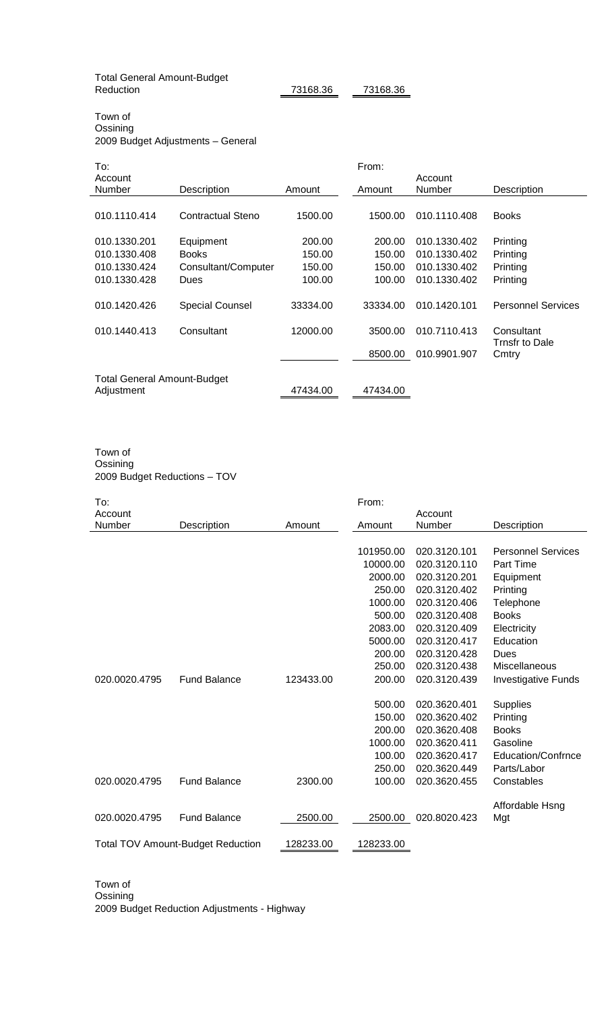Total General Amount-Budget

73168.36 73168.36

Town of **Ossining** 2009 Budget Adjustments – General

| To:                         |                        |          | From:    |              |                           |
|-----------------------------|------------------------|----------|----------|--------------|---------------------------|
| Account                     |                        |          |          | Account      |                           |
| Number                      | Description            | Amount   | Amount   | Number       | Description               |
|                             |                        |          |          |              |                           |
| 010.1110.414                | Contractual Steno      | 1500.00  | 1500.00  | 010.1110.408 | <b>Books</b>              |
|                             |                        |          |          |              |                           |
| 010.1330.201                | Equipment              | 200.00   | 200.00   | 010.1330.402 | Printing                  |
| 010.1330.408                | <b>Books</b>           | 150.00   | 150.00   | 010.1330.402 | Printing                  |
| 010.1330.424                | Consultant/Computer    | 150.00   | 150.00   | 010.1330.402 | Printing                  |
| 010.1330.428                | Dues                   | 100.00   | 100.00   | 010.1330.402 | Printing                  |
|                             |                        |          |          |              |                           |
| 010.1420.426                | <b>Special Counsel</b> | 33334.00 | 33334.00 | 010.1420.101 | <b>Personnel Services</b> |
|                             |                        |          |          |              |                           |
| 010.1440.413                | Consultant             | 12000.00 | 3500.00  | 010.7110.413 | Consultant                |
|                             |                        |          |          |              | Trnsfr to Dale            |
|                             |                        |          | 8500.00  | 010.9901.907 | Cmtry                     |
|                             |                        |          |          |              |                           |
| Total General Amount-Budget |                        |          |          |              |                           |
| Adjustment                  |                        | 47434.00 | 47434.00 |              |                           |

#### Town of Ossining 2009 Budget Reductions – TOV

| To:           |                                          |           | From:     |              |                            |
|---------------|------------------------------------------|-----------|-----------|--------------|----------------------------|
| Account       |                                          |           |           | Account      |                            |
| Number        | Description                              | Amount    | Amount    | Number       | Description                |
|               |                                          |           |           |              |                            |
|               |                                          |           | 101950.00 | 020.3120.101 | <b>Personnel Services</b>  |
|               |                                          |           | 10000.00  | 020.3120.110 | Part Time                  |
|               |                                          |           | 2000.00   | 020.3120.201 | Equipment                  |
|               |                                          |           | 250.00    | 020.3120.402 | Printing                   |
|               |                                          |           | 1000.00   | 020.3120.406 | Telephone                  |
|               |                                          |           | 500.00    | 020.3120.408 | <b>Books</b>               |
|               |                                          |           | 2083.00   | 020.3120.409 | Electricity                |
|               |                                          |           | 5000.00   | 020.3120.417 | Education                  |
|               |                                          |           | 200.00    | 020.3120.428 | Dues                       |
|               |                                          |           | 250.00    | 020.3120.438 | <b>Miscellaneous</b>       |
| 020.0020.4795 | <b>Fund Balance</b>                      | 123433.00 | 200.00    | 020.3120.439 | <b>Investigative Funds</b> |
|               |                                          |           |           |              |                            |
|               |                                          |           | 500.00    | 020.3620.401 | <b>Supplies</b>            |
|               |                                          |           | 150.00    | 020.3620.402 | Printing                   |
|               |                                          |           | 200.00    | 020.3620.408 | <b>Books</b>               |
|               |                                          |           | 1000.00   | 020.3620.411 | Gasoline                   |
|               |                                          |           | 100.00    | 020.3620.417 | Education/Confrnce         |
|               |                                          |           | 250.00    | 020.3620.449 | Parts/Labor                |
| 020.0020.4795 | <b>Fund Balance</b>                      | 2300.00   | 100.00    | 020.3620.455 | Constables                 |
|               |                                          |           |           |              |                            |
|               |                                          |           |           |              | Affordable Hsng            |
| 020.0020.4795 | <b>Fund Balance</b>                      | 2500.00   | 2500.00   | 020.8020.423 | Mgt                        |
|               | <b>Total TOV Amount-Budget Reduction</b> | 128233.00 | 128233.00 |              |                            |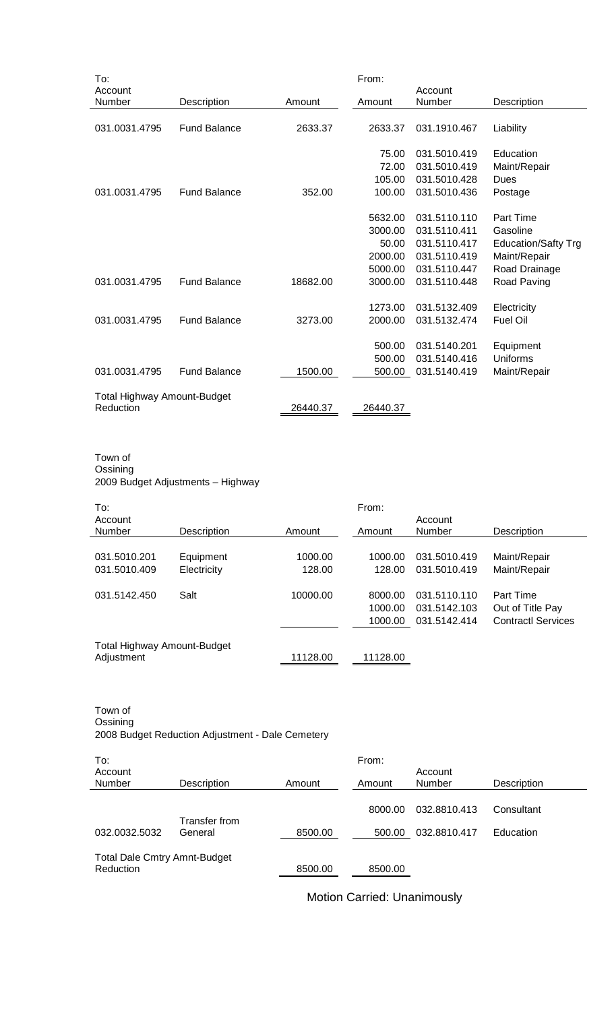| To:                                             |                     |          | From:    |              |                            |
|-------------------------------------------------|---------------------|----------|----------|--------------|----------------------------|
| Account                                         |                     |          |          | Account      |                            |
| Number                                          | Description         | Amount   | Amount   | Number       | Description                |
|                                                 |                     |          |          |              |                            |
| 031.0031.4795                                   | <b>Fund Balance</b> | 2633.37  | 2633.37  | 031.1910.467 | Liability                  |
|                                                 |                     |          |          |              |                            |
|                                                 |                     |          | 75.00    | 031.5010.419 | Education                  |
|                                                 |                     |          | 72.00    | 031.5010.419 | Maint/Repair               |
|                                                 |                     |          | 105.00   | 031.5010.428 | Dues                       |
| 031.0031.4795                                   | <b>Fund Balance</b> | 352.00   | 100.00   | 031.5010.436 | Postage                    |
|                                                 |                     |          |          |              |                            |
|                                                 |                     |          | 5632.00  | 031.5110.110 | Part Time                  |
|                                                 |                     |          | 3000.00  | 031.5110.411 | Gasoline                   |
|                                                 |                     |          | 50.00    | 031.5110.417 | <b>Education/Safty Trg</b> |
|                                                 |                     |          | 2000.00  | 031.5110.419 | Maint/Repair               |
|                                                 |                     |          | 5000.00  | 031.5110.447 | Road Drainage              |
| 031.0031.4795                                   | <b>Fund Balance</b> | 18682.00 | 3000.00  | 031.5110.448 | Road Paving                |
|                                                 |                     |          |          |              |                            |
|                                                 |                     |          | 1273.00  | 031.5132.409 | Electricity                |
| 031.0031.4795                                   | <b>Fund Balance</b> | 3273.00  | 2000.00  | 031.5132.474 | <b>Fuel Oil</b>            |
|                                                 |                     |          |          |              |                            |
|                                                 |                     |          | 500.00   | 031.5140.201 | Equipment                  |
|                                                 |                     |          | 500.00   | 031.5140.416 | Uniforms                   |
|                                                 | <b>Fund Balance</b> |          |          |              |                            |
| 031.0031.4795                                   |                     | 1500.00  | 500.00   | 031.5140.419 | Maint/Repair               |
|                                                 |                     |          |          |              |                            |
| <b>Total Highway Amount-Budget</b><br>Reduction |                     | 26440.37 | 26440.37 |              |                            |
|                                                 |                     |          |          |              |                            |

#### Town of Ossining 2009 Budget Adjustments – Highway

| To:                         |             |          | From:    |              |                           |
|-----------------------------|-------------|----------|----------|--------------|---------------------------|
| Account                     |             |          |          | Account      |                           |
| Number                      | Description | Amount   | Amount   | Number       | Description               |
|                             |             |          |          |              |                           |
| 031.5010.201                | Equipment   | 1000.00  | 1000.00  | 031.5010.419 | Maint/Repair              |
| 031.5010.409                | Electricity | 128.00   | 128.00   | 031.5010.419 | Maint/Repair              |
|                             |             |          |          |              |                           |
| 031.5142.450                | Salt        | 10000.00 | 8000.00  | 031.5110.110 | <b>Part Time</b>          |
|                             |             |          | 1000.00  | 031.5142.103 | Out of Title Pay          |
|                             |             |          | 1000.00  | 031.5142.414 | <b>Contractl Services</b> |
|                             |             |          |          |              |                           |
| Total Highway Amount-Budget |             |          |          |              |                           |
| Adjustment                  |             | 11128.00 | 11128.00 |              |                           |

#### Town of Ossining 2008 Budget Reduction Adjustment - Dale Cemetery

| To:                                 |                          |         | From:   |                   |             |
|-------------------------------------|--------------------------|---------|---------|-------------------|-------------|
| Account<br><b>Number</b>            | Description              | Amount  | Amount  | Account<br>Number | Description |
|                                     |                          |         | 8000.00 | 032.8810.413      | Consultant  |
| 032.0032.5032                       | Transfer from<br>General | 8500.00 | 500.00  | 032.8810.417      | Education   |
| <b>Total Dale Cmtry Amnt-Budget</b> |                          |         |         |                   |             |
| Reduction                           |                          | 8500.00 | 8500.00 |                   |             |

Motion Carried: Unanimously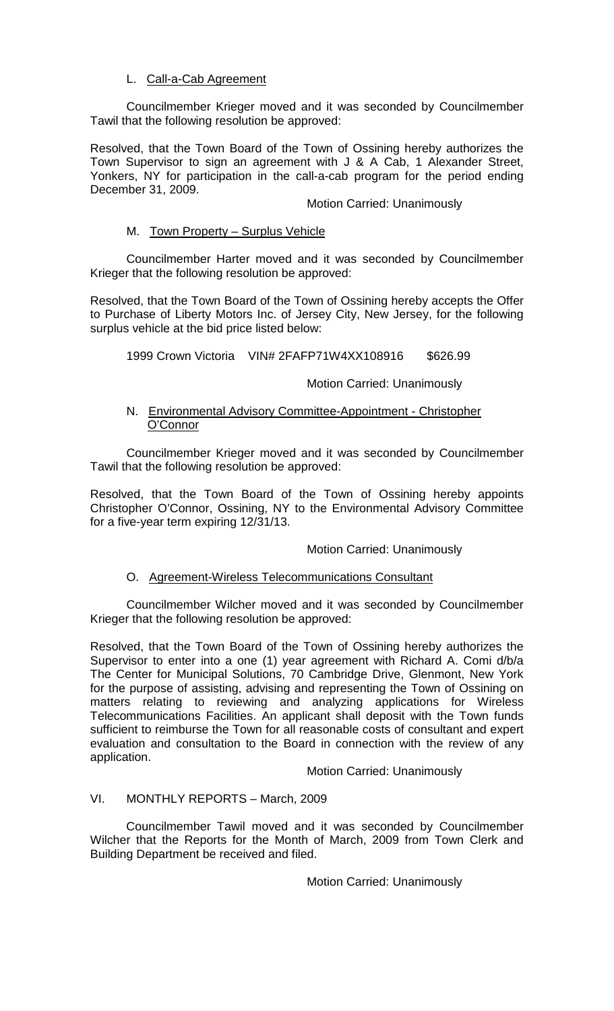# L. Call-a-Cab Agreement

Councilmember Krieger moved and it was seconded by Councilmember Tawil that the following resolution be approved:

Resolved, that the Town Board of the Town of Ossining hereby authorizes the Town Supervisor to sign an agreement with J & A Cab, 1 Alexander Street, Yonkers, NY for participation in the call-a-cab program for the period ending December 31, 2009.

## Motion Carried: Unanimously

## M. Town Property – Surplus Vehicle

Councilmember Harter moved and it was seconded by Councilmember Krieger that the following resolution be approved:

Resolved, that the Town Board of the Town of Ossining hereby accepts the Offer to Purchase of Liberty Motors Inc. of Jersey City, New Jersey, for the following surplus vehicle at the bid price listed below:

1999 Crown Victoria VIN# 2FAFP71W4XX108916 \$626.99

## Motion Carried: Unanimously

## N. Environmental Advisory Committee-Appointment - Christopher O'Connor

Councilmember Krieger moved and it was seconded by Councilmember Tawil that the following resolution be approved:

Resolved, that the Town Board of the Town of Ossining hereby appoints Christopher O'Connor, Ossining, NY to the Environmental Advisory Committee for a five-year term expiring 12/31/13.

### Motion Carried: Unanimously

# O. Agreement-Wireless Telecommunications Consultant

Councilmember Wilcher moved and it was seconded by Councilmember Krieger that the following resolution be approved:

Resolved, that the Town Board of the Town of Ossining hereby authorizes the Supervisor to enter into a one (1) year agreement with Richard A. Comi d/b/a The Center for Municipal Solutions, 70 Cambridge Drive, Glenmont, New York for the purpose of assisting, advising and representing the Town of Ossining on matters relating to reviewing and analyzing applications for Wireless Telecommunications Facilities. An applicant shall deposit with the Town funds sufficient to reimburse the Town for all reasonable costs of consultant and expert evaluation and consultation to the Board in connection with the review of any application.

Motion Carried: Unanimously

# VI. MONTHLY REPORTS – March, 2009

Councilmember Tawil moved and it was seconded by Councilmember Wilcher that the Reports for the Month of March, 2009 from Town Clerk and Building Department be received and filed.

Motion Carried: Unanimously